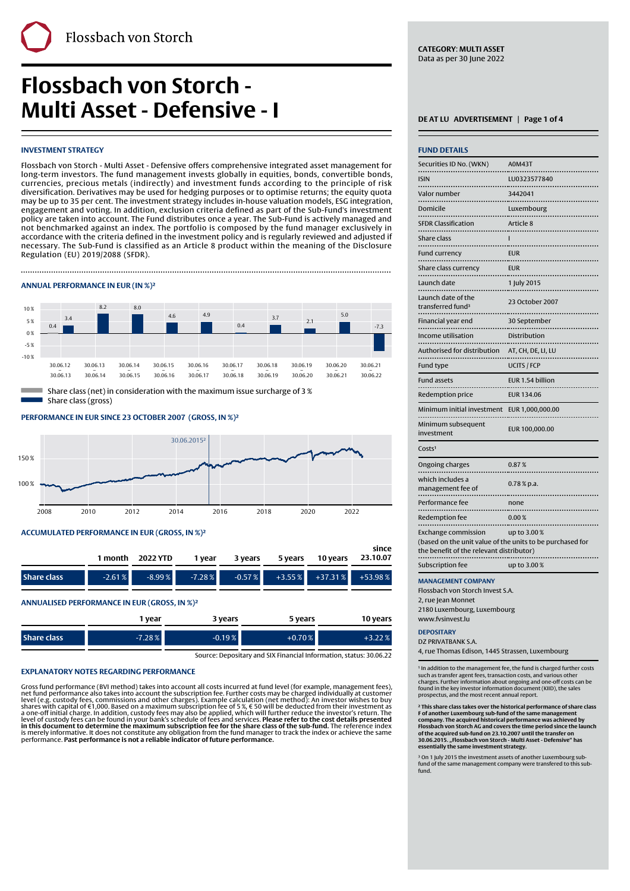# **Flossbach von Storch - Multi Asset - Defensive - I**

# **INVESTMENT STRATEGY**

Flossbach von Storch - Multi Asset - Defensive offers comprehensive integrated asset management for long-term investors. The fund management invests globally in equities, bonds, convertible bonds, currencies, precious metals (indirectly) and investment funds according to the principle of risk diversification. Derivatives may be used for hedging purposes or to optimise returns; the equity quota may be up to 35 per cent. The investment strategy includes in-house valuation models, ESG integration, engagement and voting. In addition, exclusion criteria defined as part of the Sub-Fund's investment policy are taken into account. The Fund distributes once a year. The Sub-Fund is actively managed and not benchmarked against an index. The portfolio is composed by the fund manager exclusively in accordance with the criteria defined in the investment policy and is regularly reviewed and adjusted if necessary. The Sub-Fund is classified as an Article 8 product within the meaning of the Disclosure Regulation (EU) 2019/2088 (SFDR).

Finally, the contract of the contract of the contract of the contract of the contract of the contract of the c

# **ANNUAL PERFORMANCE IN EUR (IN %)²**



Share class (gross)

**PERFORMANCE IN EUR SINCE 23 OCTOBER 2007' (GROSS, IN %)²**



# **ACCUMULATED PERFORMANCE IN EUR (GROSS, IN %)²**

|                                              |          | 1 month 2022 YTD | 1 year   | 3 years | 5 years | 10 years                       | since<br>23.10.07           |
|----------------------------------------------|----------|------------------|----------|---------|---------|--------------------------------|-----------------------------|
| <b>Share class</b>                           | $-2.61%$ | $-8.99%$         | $-7.28%$ |         |         | $-0.57\%$ $+3.55\%$ $+37.31\%$ | $+53.98%$                   |
| ANNUALISED PERFORMANCE IN EUR (GROSS, IN %)2 |          |                  |          |         | __      |                                | $\sim$ $\sim$ $\sim$ $\sim$ |

|             | vear     | 3 years  | 5 years  | 10 vears |
|-------------|----------|----------|----------|----------|
| Share class | $-7.28%$ | $-0.19%$ | $+0.70%$ | 22%      |

Source: Depositary and SIX Financial Information, status: 30.06.22

# **EXPLANATORY NOTES REGARDING PERFORMANCE**

Gross fund performance (BVI method) takes into account all costs incurred at fund level (for example, management fees),<br>net fund performance also takes into account the subscription fee. Further costs may be charged indiv

**CATEGORY**: **MULTI ASSET** Data as per 30 June 2022

| <b>FUND DETAILS</b>                                                                                   |                     |
|-------------------------------------------------------------------------------------------------------|---------------------|
| Securities ID No. (WKN)                                                                               | <b>A0M43T</b>       |
| <b>ISIN</b>                                                                                           | LU0323577840        |
| Valor number                                                                                          | <br>3442041         |
| Domicile<br>.                                                                                         | Luxembourg          |
| .<br><b>SFDR Classification</b>                                                                       | .<br>Article 8      |
| Share class<br>.                                                                                      | ı                   |
| .<br>Fund currency                                                                                    | <b>EUR</b>          |
| Share class currency                                                                                  | <b>EUR</b>          |
| <br>Launch date                                                                                       | 1 July 2015         |
| Launch date of the<br>transferred fund <sup>3</sup><br>                                               | 23 October 2007<br> |
| Financial year end                                                                                    | 30 September        |
| Income utilisation<br>.                                                                               | Distribution        |
| Authorised for distribution<br>                                                                       | AT, CH, DE, LI, LU  |
| Fund type                                                                                             | <b>UCITS / FCP</b>  |
| <b>Fund assets</b><br>.                                                                               | EUR 1.54 billion    |
| Redemption price                                                                                      | <b>EUR 134.06</b>   |
| Minimum initial investment<br>.                                                                       | EUR 1,000,000.00    |
| Minimum subsequent<br>investment                                                                      | EUR 100,000.00      |
| Costs <sup>1</sup>                                                                                    |                     |
| Ongoing charges                                                                                       | 0.87%               |
| which includes a<br>management fee of                                                                 | $0.78\%$ p.a.       |
| .<br>Performance fee                                                                                  | none                |
| Redemption fee<br>.                                                                                   | 0.00%<br>           |
| <b>Exchange commission</b>                                                                            | up to 3.00%         |
| (based on the unit value of the units to be purchased for<br>the benefit of the relevant distributor) |                     |
| Subscription fee                                                                                      | up to 3.00 %        |
| <b>MANAGEMENT COMPANY</b>                                                                             |                     |

Flossbach von Storch Invest S.A. 2. rue Jean Monnet

2180 Luxembourg, Luxembourg www.fvsinvest.lu

# **DEPOSITARY**

DZ PRIVATBANK S.A.

4, rue Thomas Edison, 1445 Strassen, Luxembourg

<sup>1</sup> In addition to the management fee, the fund is charged further costs such as transfer agent fees, transaction costs, and various other charges. Further information about ongoing and one-off costs can be found in the key investor information document (KIID), the sales prospectus, and the most recent annual report.

**² This share class takes over the historical performance of share class** F of another Luxembourg sub-fund of the same management<br>company. The acquired historical performance was achieved by<br>Flossbach von Storch AG and covers the time period since the launch<br>of the acquired sub-fund on 23.10.200 **essentially the same investment strategy.**

³ On 1 July 2015 the investment assets of another Luxembourg subfund of the same management company were transfered to this sub-fund.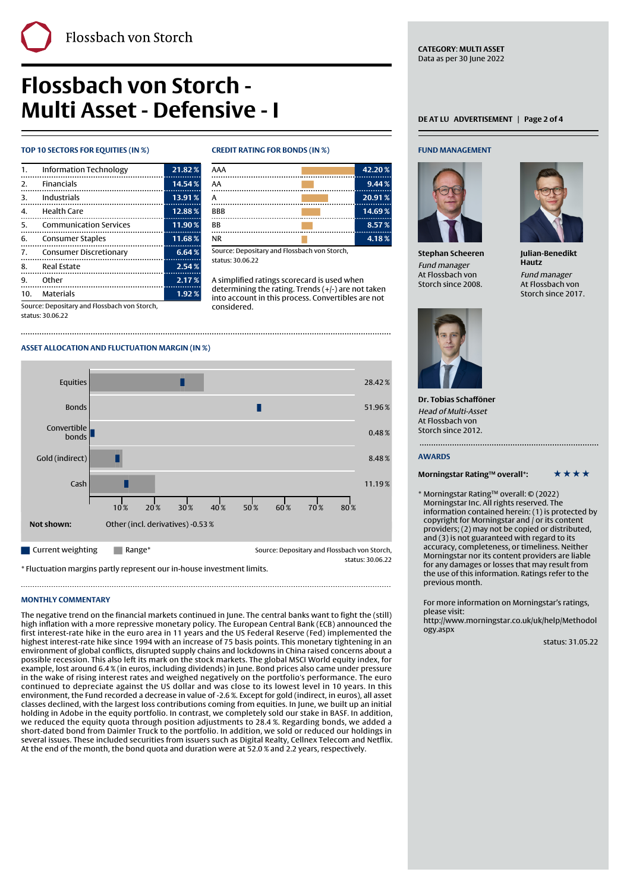# **Flossbach von Storch - Multi Asset - Defensive - I DECOUVE - I** DEATLU ADVERTISEMENT | Page 2 of 4

## **TOP 10 SECTORS FOR EQUITIES (IN %) CREDIT RATING FOR BONDS (IN %)**

| $\mathbf{1}$ . | Information Technology | 21.82% |
|----------------|------------------------|--------|
|                | 2. Financials          | 14.54% |
|                | 3. Industrials<br>     | 13.91% |
| 4.             | Health Care            | 12.88% |
| -5.            | Communication Services | 11.90% |
| 6.             | Consumer Staples       | 11.68% |
| 7.             | Consumer Discretionary | 6.64%  |
|                | 8. Real Estate         | 2.54%  |
| 9.             | Other                  | 2.17%  |
| 10.            | Materials              | 1.92%  |

Source: Depositary and Flossbach von Storch,

status: 30.06.22

Finally, the contract of the contract of the contract of the contract of the contract of the contract of the c

| AAA        | 42.20% |
|------------|--------|
| AA         | 9.44%  |
|            | 20.91% |
| <b>BBB</b> | 14.69% |
| <b>BB</b>  | 8.57%  |
| <b>NR</b>  | 4.18%  |

Source: Depositary and Flossbach von Storch, status: 30.06.22

A simplified ratings scorecard is used when determining the rating. Trends (+/-) are not taken into account in this process. Convertibles are not considered.

Equities  $\begin{bmatrix} 28.42 \end{bmatrix}$ Bonds  $\blacksquare$  51.96 % and 51.96 % substitutions of  $\blacksquare$  . The set of  $\blacksquare$  . Set of  $\blacksquare$  . Set of  $\blacksquare$ Convertible  $\frac{1}{2}$  bonds  $\frac{1}{2}$  0.48 % Gold (indirect) **8.48 %** 8.48 %  $\sf Cash$  11.19 % and 11.19  $\sf I$ 10 % 20 % 30 % 40 % 50 % 60 % 70 % 80 % **Not shown:** Other (incl. derivatives) -0.53 % **Current weighting Range\*** Range\* Source: Depositary and Flossbach von Storch, status: 30.06.22

\* Fluctuation margins partly represent our in-house investment limits.

## **MONTHLY COMMENTARY**

The negative trend on the financial markets continued in June. The central banks want to fight the (still) high inflation with a more repressive monetary policy. The European Central Bank (ECB) announced the first interest-rate hike in the euro area in 11 years and the US Federal Reserve (Fed) implemented the highest interest-rate hike since 1994 with an increase of 75 basis points. This monetary tightening in an environment of global conflicts, disrupted supply chains and lockdowns in China raised concerns about a possible recession. This also left its mark on the stock markets. The global MSCI World equity index, for example, lost around 6.4 % (in euros, including dividends) in June. Bond prices also came under pressure in the wake of rising interest rates and weighed negatively on the portfolio's performance. The euro continued to depreciate against the US dollar and was close to its lowest level in 10 years. In this environment, the Fund recorded a decrease in value of -2.6 %. Except for gold (indirect, in euros), all asset classes declined, with the largest loss contributions coming from equities. In June, we built up an initial holding in Adobe in the equity portfolio. In contrast, we completely sold our stake in BASF. In addition, we reduced the equity quota through position adjustments to 28.4 %. Regarding bonds, we added a short-dated bond from Daimler Truck to the portfolio. In addition, we sold or reduced our holdings in several issues. These included securities from issuers such as Digital Realty, Cellnex Telecom and Netflix. At the end of the month, the bond quota and duration were at 52.0 % and 2.2 years, respectively.

## **FUND MANAGEMENT**

**CATEGORY**: **MULTI ASSET** Data as per 30 June 2022



**Stephan Scheeren** Fund manager At Flossbach von Storch since 2008.



**Julian-Benedikt Hautz** Fund manager At Flossbach von Storch since 2017.



**Dr. Tobias Schafföner** Head of Multi-Asset At Flossbach von Storch since 2012.

# **AWARDS**

**Morningstar Rating™ overall\*:** \* \* \* \* \*

\* Morningstar Rating™ overall: © (2022) Morningstar Inc. All rights reserved. The information contained herein: (1) is protected by copyright for Morningstar and / or its content providers; (2) may not be copied or distributed, and (3) is not guaranteed with regard to its accuracy, completeness, or timeliness. Neither Morningstar nor its content providers are liable for any damages or losses that may result from the use of this information. Ratings refer to the previous month.

For more information on Morningstar's ratings, please visit:

[http://www.morningstar.co.uk/uk/help/Methodol](http://www.morningstar.co.uk/uk/help/Methodology.aspx) [ogy.aspx](http://www.morningstar.co.uk/uk/help/Methodology.aspx)

status: 31.05.22



**ASSET ALLOCATION AND FLUCTUATION MARGIN (IN %)**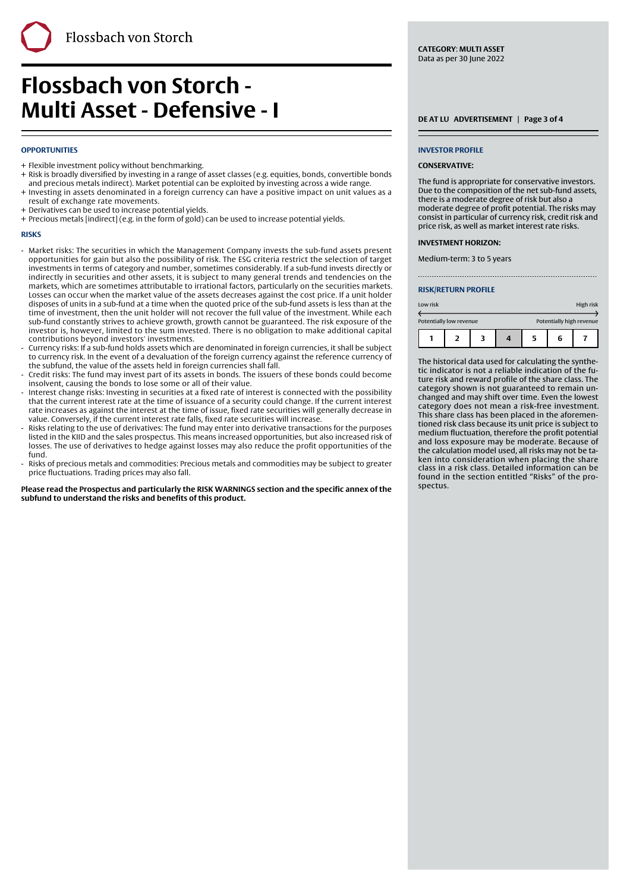# **Flossbach von Storch - Multi Asset - Defensive - I**

# **OPPORTUNITIES**

- + Flexible investment policy without benchmarking.
- + Risk is broadly diversified by investing in a range of asset classes (e.g. equities, bonds, convertible bonds and precious metals indirect). Market potential can be exploited by investing across a wide range.

Finally, the contract of the contract of the contract of the contract of the contract of the contract of the c

- + Investing in assets denominated in a foreign currency can have a positive impact on unit values as a result of exchange rate movements.
- + Derivatives can be used to increase potential yields.
- + Precious metals [indirect] (e.g. in the form of gold) can be used to increase potential yields.

### **RISKS**

- Market risks: The securities in which the Management Company invests the sub-fund assets present opportunities for gain but also the possibility of risk. The ESG criteria restrict the selection of target investments in terms of category and number, sometimes considerably. If a sub-fund invests directly or indirectly in securities and other assets, it is subject to many general trends and tendencies on the markets, which are sometimes attributable to irrational factors, particularly on the securities markets. Losses can occur when the market value of the assets decreases against the cost price. If a unit holder disposes of units in a sub-fund at a time when the quoted price of the sub-fund assets is less than at the time of investment, then the unit holder will not recover the full value of the investment. While each sub-fund constantly strives to achieve growth, growth cannot be guaranteed. The risk exposure of the investor is, however, limited to the sum invested. There is no obligation to make additional capital contributions beyond investors' investments. -
- Currency risks: If a sub-fund holds assets which are denominated in foreign currencies, it shall be subject to currency risk. In the event of a devaluation of the foreign currency against the reference currency of the subfund, the value of the assets held in foreign currencies shall fall. -
- Credit risks: The fund may invest part of its assets in bonds. The issuers of these bonds could become insolvent, causing the bonds to lose some or all of their value. -
- Interest change risks: Investing in securities at a fixed rate of interest is connected with the possibility that the current interest rate at the time of issuance of a security could change. If the current interest rate increases as against the interest at the time of issue, fixed rate securities will generally decrease in value. Conversely, if the current interest rate falls, fixed rate securities will increase. -
- Risks relating to the use of derivatives: The fund may enter into derivative transactions for the purposes listed in the KIID and the sales prospectus. This means increased opportunities, but also increased risk of losses. The use of derivatives to hedge against losses may also reduce the profit opportunities of the fund. -
- Risks of precious metals and commodities: Precious metals and commodities may be subject to greater price fluctuations. Trading prices may also fall. -

**Please read the Prospectus and particularly the RISK WARNINGS section and the specific annex of the subfund to understand the risks and benefits of this product.**

**CATEGORY**: **MULTI ASSET** Data as per 30 June 2022

### **INVESTOR PROFILE**

### **CONSERVATIVE:**

The fund is appropriate for conservative investors. Due to the composition of the net sub-fund assets, there is a moderate degree of risk but also a moderate degree of profit potential. The risks may consist in particular of currency risk, credit risk and price risk, as well as market interest rate risks.

### **INVESTMENT HORIZON:**

Medium-term: 3 to 5 years

### **RISK/RETURN PROFILE**

| Low risk                |  |  |  |   |                          | High risk |
|-------------------------|--|--|--|---|--------------------------|-----------|
| Potentially low revenue |  |  |  |   | Potentially high revenue |           |
|                         |  |  |  | 5 | 6                        |           |

The historical data used for calculating the synthetic indicator is not a reliable indication of the future risk and reward profile of the share class. The category shown is not guaranteed to remain unchanged and may shift over time. Even the lowest category does not mean a risk-free investment. This share class has been placed in the aforementioned risk class because its unit price is subject to medium fluctuation, therefore the profit potential and loss exposure may be moderate. Because of the calculation model used, all risks may not be taken into consideration when placing the share class in a risk class. Detailed information can be found in the section entitled "Risks" of the prospectus.